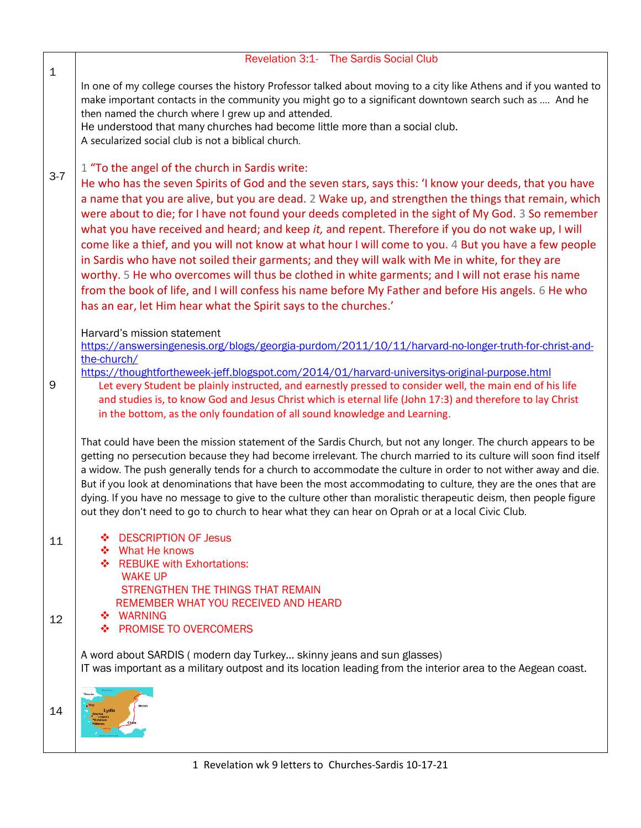|             | Revelation 3:1- The Sardis Social Club                                                                                                                                                                                                                                                                                                                                                                                                                                                                                                                                                                                                                                                                                                                                                                                                                                                                                                                                |
|-------------|-----------------------------------------------------------------------------------------------------------------------------------------------------------------------------------------------------------------------------------------------------------------------------------------------------------------------------------------------------------------------------------------------------------------------------------------------------------------------------------------------------------------------------------------------------------------------------------------------------------------------------------------------------------------------------------------------------------------------------------------------------------------------------------------------------------------------------------------------------------------------------------------------------------------------------------------------------------------------|
| $\mathbf 1$ | In one of my college courses the history Professor talked about moving to a city like Athens and if you wanted to<br>make important contacts in the community you might go to a significant downtown search such as  And he<br>then named the church where I grew up and attended.<br>He understood that many churches had become little more than a social club.<br>A secularized social club is not a biblical church.                                                                                                                                                                                                                                                                                                                                                                                                                                                                                                                                              |
| $3 - 7$     | 1 "To the angel of the church in Sardis write:<br>He who has the seven Spirits of God and the seven stars, says this: 'I know your deeds, that you have<br>a name that you are alive, but you are dead. 2 Wake up, and strengthen the things that remain, which<br>were about to die; for I have not found your deeds completed in the sight of My God. 3 So remember<br>what you have received and heard; and keep it, and repent. Therefore if you do not wake up, I will<br>come like a thief, and you will not know at what hour I will come to you. 4 But you have a few people<br>in Sardis who have not soiled their garments; and they will walk with Me in white, for they are<br>worthy. 5 He who overcomes will thus be clothed in white garments; and I will not erase his name<br>from the book of life, and I will confess his name before My Father and before His angels. 6 He who<br>has an ear, let Him hear what the Spirit says to the churches.' |
| 9           | Harvard's mission statement<br>https://answersingenesis.org/blogs/georgia-purdom/2011/10/11/harvard-no-longer-truth-for-christ-and-<br>the-church/<br>https://thoughtfortheweek-jeff.blogspot.com/2014/01/harvard-universitys-original-purpose.html<br>Let every Student be plainly instructed, and earnestly pressed to consider well, the main end of his life<br>and studies is, to know God and Jesus Christ which is eternal life (John 17:3) and therefore to lay Christ<br>in the bottom, as the only foundation of all sound knowledge and Learning.                                                                                                                                                                                                                                                                                                                                                                                                          |
|             | That could have been the mission statement of the Sardis Church, but not any longer. The church appears to be<br>getting no persecution because they had become irrelevant. The church married to its culture will soon find itself<br>a widow. The push generally tends for a church to accommodate the culture in order to not wither away and die.<br>But if you look at denominations that have been the most accommodating to culture, they are the ones that are<br>dying. If you have no message to give to the culture other than moralistic therapeutic deism, then people figure<br>out they don't need to go to church to hear what they can hear on Oprah or at a local Civic Club.                                                                                                                                                                                                                                                                       |
| 11<br>12    | <b>DESCRIPTION OF Jesus</b><br>❖<br>What He knows<br>❖<br><b>REBUKE with Exhortations:</b><br><b>WAKE UP</b><br>STRENGTHEN THE THINGS THAT REMAIN<br>REMEMBER WHAT YOU RECEIVED AND HEARD<br>❖ WARNING<br><b>PROMISE TO OVERCOMERS</b><br>≁                                                                                                                                                                                                                                                                                                                                                                                                                                                                                                                                                                                                                                                                                                                           |
|             | A word about SARDIS (modern day Turkey skinny jeans and sun glasses)<br>IT was important as a military outpost and its location leading from the interior area to the Aegean coast.                                                                                                                                                                                                                                                                                                                                                                                                                                                                                                                                                                                                                                                                                                                                                                                   |
| 14          | Thracia                                                                                                                                                                                                                                                                                                                                                                                                                                                                                                                                                                                                                                                                                                                                                                                                                                                                                                                                                               |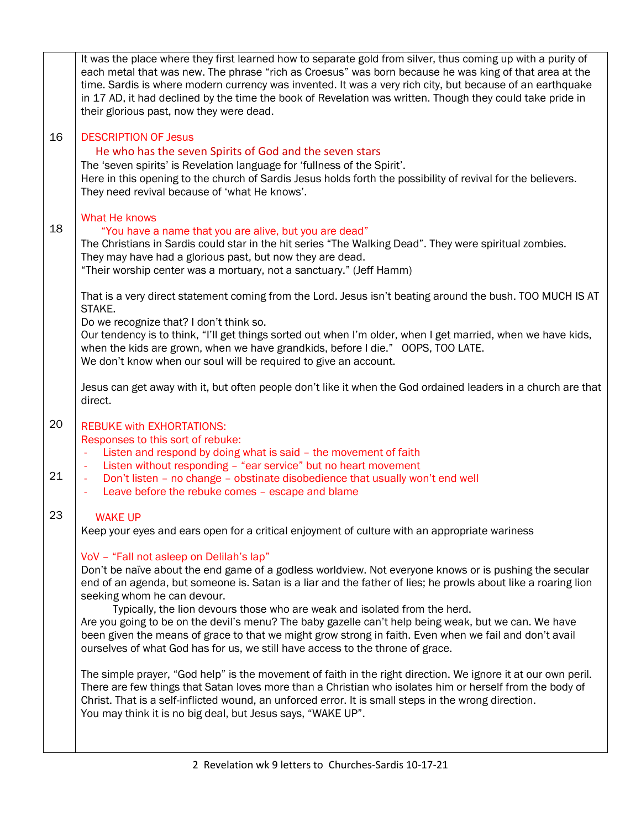|          | It was the place where they first learned how to separate gold from silver, thus coming up with a purity of<br>each metal that was new. The phrase "rich as Croesus" was born because he was king of that area at the<br>time. Sardis is where modern currency was invented. It was a very rich city, but because of an earthquake<br>in 17 AD, it had declined by the time the book of Revelation was written. Though they could take pride in<br>their glorious past, now they were dead.                                                                                                                                                                                                                                                                                                                                                                                                                       |
|----------|-------------------------------------------------------------------------------------------------------------------------------------------------------------------------------------------------------------------------------------------------------------------------------------------------------------------------------------------------------------------------------------------------------------------------------------------------------------------------------------------------------------------------------------------------------------------------------------------------------------------------------------------------------------------------------------------------------------------------------------------------------------------------------------------------------------------------------------------------------------------------------------------------------------------|
| 16       | <b>DESCRIPTION OF Jesus</b><br>He who has the seven Spirits of God and the seven stars<br>The 'seven spirits' is Revelation language for 'fullness of the Spirit'.<br>Here in this opening to the church of Sardis Jesus holds forth the possibility of revival for the believers.<br>They need revival because of 'what He knows'.                                                                                                                                                                                                                                                                                                                                                                                                                                                                                                                                                                               |
| 18       | What He knows<br>"You have a name that you are alive, but you are dead"<br>The Christians in Sardis could star in the hit series "The Walking Dead". They were spiritual zombies.<br>They may have had a glorious past, but now they are dead.<br>"Their worship center was a mortuary, not a sanctuary." (Jeff Hamm)                                                                                                                                                                                                                                                                                                                                                                                                                                                                                                                                                                                             |
|          | That is a very direct statement coming from the Lord. Jesus isn't beating around the bush. TOO MUCH IS AT<br>STAKE.<br>Do we recognize that? I don't think so.<br>Our tendency is to think, "I'll get things sorted out when I'm older, when I get married, when we have kids,<br>when the kids are grown, when we have grandkids, before I die." OOPS, TOO LATE.<br>We don't know when our soul will be required to give an account.                                                                                                                                                                                                                                                                                                                                                                                                                                                                             |
|          | Jesus can get away with it, but often people don't like it when the God ordained leaders in a church are that<br>direct.                                                                                                                                                                                                                                                                                                                                                                                                                                                                                                                                                                                                                                                                                                                                                                                          |
| 20<br>21 | <b>REBUKE with EXHORTATIONS:</b><br>Responses to this sort of rebuke:<br>Listen and respond by doing what is said - the movement of faith<br>ä,<br>Listen without responding - "ear service" but no heart movement<br>$\overline{\phantom{a}}$<br>Don't listen - no change - obstinate disobedience that usually won't end well<br>ä,<br>Leave before the rebuke comes - escape and blame                                                                                                                                                                                                                                                                                                                                                                                                                                                                                                                         |
| 23       | <b>WAKE UP</b><br>Keep your eyes and ears open for a critical enjoyment of culture with an appropriate wariness                                                                                                                                                                                                                                                                                                                                                                                                                                                                                                                                                                                                                                                                                                                                                                                                   |
|          | VoV - "Fall not asleep on Delilah's lap"<br>Don't be naïve about the end game of a godless worldview. Not everyone knows or is pushing the secular<br>end of an agenda, but someone is. Satan is a liar and the father of lies; he prowls about like a roaring lion<br>seeking whom he can devour.<br>Typically, the lion devours those who are weak and isolated from the herd.<br>Are you going to be on the devil's menu? The baby gazelle can't help being weak, but we can. We have<br>been given the means of grace to that we might grow strong in faith. Even when we fail and don't avail<br>ourselves of what God has for us, we still have access to the throne of grace.<br>The simple prayer, "God help" is the movement of faith in the right direction. We ignore it at our own peril.<br>There are few things that Satan loves more than a Christian who isolates him or herself from the body of |
|          | Christ. That is a self-inflicted wound, an unforced error. It is small steps in the wrong direction.<br>You may think it is no big deal, but Jesus says, "WAKE UP".                                                                                                                                                                                                                                                                                                                                                                                                                                                                                                                                                                                                                                                                                                                                               |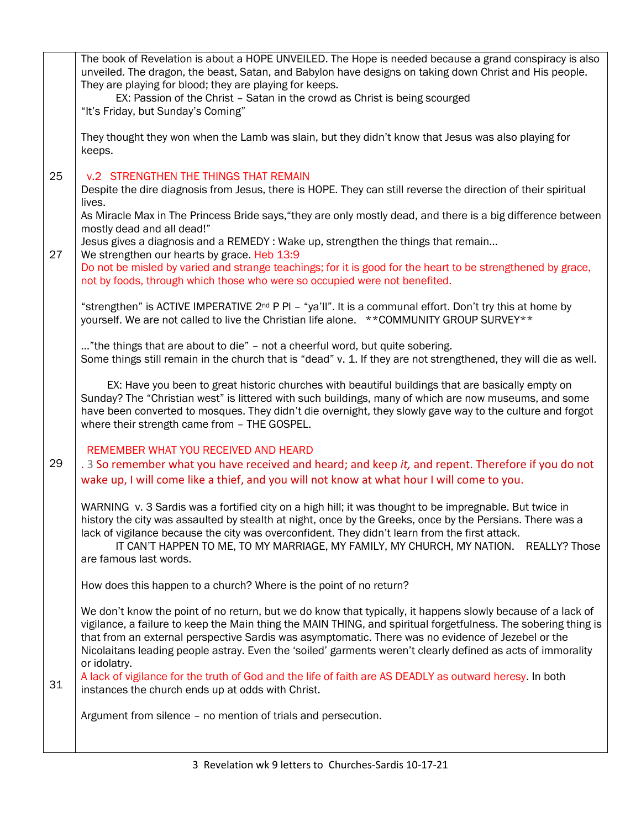|    | The book of Revelation is about a HOPE UNVEILED. The Hope is needed because a grand conspiracy is also<br>unveiled. The dragon, the beast, Satan, and Babylon have designs on taking down Christ and His people.     |
|----|----------------------------------------------------------------------------------------------------------------------------------------------------------------------------------------------------------------------|
|    | They are playing for blood; they are playing for keeps.                                                                                                                                                              |
|    | EX: Passion of the Christ - Satan in the crowd as Christ is being scourged<br>"It's Friday, but Sunday's Coming"                                                                                                     |
|    |                                                                                                                                                                                                                      |
|    | They thought they won when the Lamb was slain, but they didn't know that Jesus was also playing for<br>keeps.                                                                                                        |
| 25 | <b>v.2 STRENGTHEN THE THINGS THAT REMAIN</b>                                                                                                                                                                         |
|    | Despite the dire diagnosis from Jesus, there is HOPE. They can still reverse the direction of their spiritual<br>lives.                                                                                              |
|    | As Miracle Max in The Princess Bride says, "they are only mostly dead, and there is a big difference between<br>mostly dead and all dead!"                                                                           |
|    | Jesus gives a diagnosis and a REMEDY: Wake up, strengthen the things that remain                                                                                                                                     |
| 27 | We strengthen our hearts by grace. Heb 13:9<br>Do not be misled by varied and strange teachings; for it is good for the heart to be strengthened by grace,                                                           |
|    | not by foods, through which those who were so occupied were not benefited.                                                                                                                                           |
|    | "strengthen" is ACTIVE IMPERATIVE $2^{nd}$ P PI – "ya'll". It is a communal effort. Don't try this at home by                                                                                                        |
|    | yourself. We are not called to live the Christian life alone. ** COMMUNITY GROUP SURVEY**                                                                                                                            |
|    | "the things that are about to die" - not a cheerful word, but quite sobering.<br>Some things still remain in the church that is "dead" v. 1. If they are not strengthened, they will die as well.                    |
|    | EX: Have you been to great historic churches with beautiful buildings that are basically empty on                                                                                                                    |
|    | Sunday? The "Christian west" is littered with such buildings, many of which are now museums, and some                                                                                                                |
|    | have been converted to mosques. They didn't die overnight, they slowly gave way to the culture and forgot<br>where their strength came from - THE GOSPEL.                                                            |
|    | REMEMBER WHAT YOU RECEIVED AND HEARD                                                                                                                                                                                 |
| 29 | . 3 So remember what you have received and heard; and keep it, and repent. Therefore if you do not<br>wake up, I will come like a thief, and you will not know at what hour I will come to you.                      |
|    | WARNING v. 3 Sardis was a fortified city on a high hill; it was thought to be impregnable. But twice in                                                                                                              |
|    | history the city was assaulted by stealth at night, once by the Greeks, once by the Persians. There was a<br>lack of vigilance because the city was overconfident. They didn't learn from the first attack.          |
|    | IT CAN'T HAPPEN TO ME, TO MY MARRIAGE, MY FAMILY, MY CHURCH, MY NATION. REALLY? Those                                                                                                                                |
|    | are famous last words.                                                                                                                                                                                               |
|    | How does this happen to a church? Where is the point of no return?                                                                                                                                                   |
|    | We don't know the point of no return, but we do know that typically, it happens slowly because of a lack of                                                                                                          |
|    | vigilance, a failure to keep the Main thing the MAIN THING, and spiritual forgetfulness. The sobering thing is<br>that from an external perspective Sardis was asymptomatic. There was no evidence of Jezebel or the |
|    | Nicolaitans leading people astray. Even the 'soiled' garments weren't clearly defined as acts of immorality<br>or idolatry.                                                                                          |
| 31 | A lack of vigilance for the truth of God and the life of faith are AS DEADLY as outward heresy. In both                                                                                                              |
|    | instances the church ends up at odds with Christ.                                                                                                                                                                    |
|    | Argument from silence - no mention of trials and persecution.                                                                                                                                                        |
|    |                                                                                                                                                                                                                      |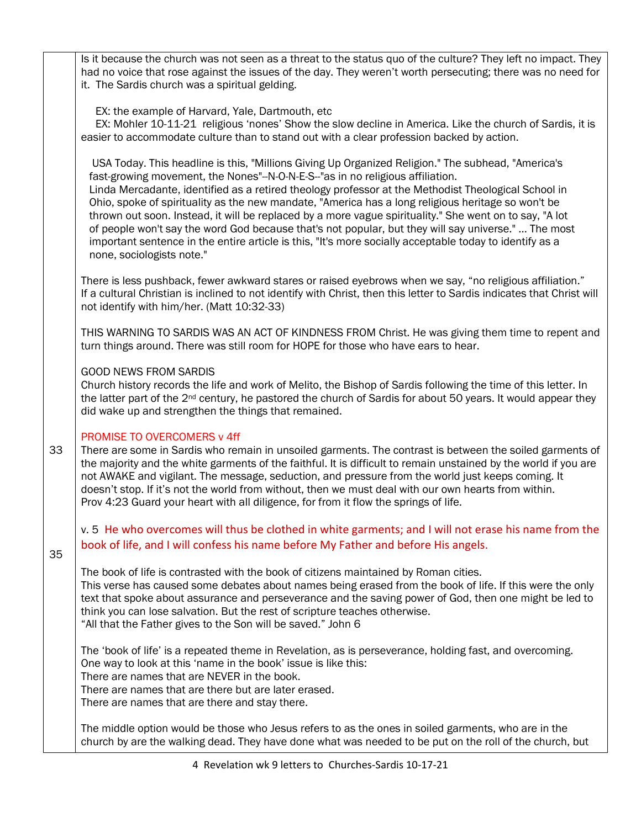|    | Is it because the church was not seen as a threat to the status quo of the culture? They left no impact. They<br>had no voice that rose against the issues of the day. They weren't worth persecuting; there was no need for<br>it. The Sardis church was a spiritual gelding.                                                                                                                                                                                                                                                                                                                                                                                                                                                                              |
|----|-------------------------------------------------------------------------------------------------------------------------------------------------------------------------------------------------------------------------------------------------------------------------------------------------------------------------------------------------------------------------------------------------------------------------------------------------------------------------------------------------------------------------------------------------------------------------------------------------------------------------------------------------------------------------------------------------------------------------------------------------------------|
|    | EX: the example of Harvard, Yale, Dartmouth, etc<br>EX: Mohler 10-11-21 religious 'nones' Show the slow decline in America. Like the church of Sardis, it is<br>easier to accommodate culture than to stand out with a clear profession backed by action.                                                                                                                                                                                                                                                                                                                                                                                                                                                                                                   |
|    | USA Today. This headline is this, "Millions Giving Up Organized Religion." The subhead, "America's<br>fast-growing movement, the Nones"--N-O-N-E-S--"as in no religious affiliation.<br>Linda Mercadante, identified as a retired theology professor at the Methodist Theological School in<br>Ohio, spoke of spirituality as the new mandate, "America has a long religious heritage so won't be<br>thrown out soon. Instead, it will be replaced by a more vague spirituality." She went on to say, "A lot<br>of people won't say the word God because that's not popular, but they will say universe."  The most<br>important sentence in the entire article is this, "It's more socially acceptable today to identify as a<br>none, sociologists note." |
|    | There is less pushback, fewer awkward stares or raised eyebrows when we say, "no religious affiliation."<br>If a cultural Christian is inclined to not identify with Christ, then this letter to Sardis indicates that Christ will<br>not identify with him/her. (Matt 10:32-33)                                                                                                                                                                                                                                                                                                                                                                                                                                                                            |
|    | THIS WARNING TO SARDIS WAS AN ACT OF KINDNESS FROM Christ. He was giving them time to repent and<br>turn things around. There was still room for HOPE for those who have ears to hear.                                                                                                                                                                                                                                                                                                                                                                                                                                                                                                                                                                      |
|    | <b>GOOD NEWS FROM SARDIS</b><br>Church history records the life and work of Melito, the Bishop of Sardis following the time of this letter. In<br>the latter part of the 2 <sup>nd</sup> century, he pastored the church of Sardis for about 50 years. It would appear they<br>did wake up and strengthen the things that remained.                                                                                                                                                                                                                                                                                                                                                                                                                         |
| 33 | PROMISE TO OVERCOMERS v 4ff<br>There are some in Sardis who remain in unsoiled garments. The contrast is between the soiled garments of<br>the majority and the white garments of the faithful. It is difficult to remain unstained by the world if you are<br>not AWAKE and vigilant. The message, seduction, and pressure from the world just keeps coming. It<br>doesn't stop. If it's not the world from without, then we must deal with our own hearts from within.<br>Prov 4:23 Guard your heart with all diligence, for from it flow the springs of life.                                                                                                                                                                                            |
| 35 | v. 5 He who overcomes will thus be clothed in white garments; and I will not erase his name from the<br>book of life, and I will confess his name before My Father and before His angels.                                                                                                                                                                                                                                                                                                                                                                                                                                                                                                                                                                   |
|    | The book of life is contrasted with the book of citizens maintained by Roman cities.<br>This verse has caused some debates about names being erased from the book of life. If this were the only<br>text that spoke about assurance and perseverance and the saving power of God, then one might be led to<br>think you can lose salvation. But the rest of scripture teaches otherwise.<br>"All that the Father gives to the Son will be saved." John 6                                                                                                                                                                                                                                                                                                    |
|    | The 'book of life' is a repeated theme in Revelation, as is perseverance, holding fast, and overcoming.<br>One way to look at this 'name in the book' issue is like this:<br>There are names that are NEVER in the book.<br>There are names that are there but are later erased.<br>There are names that are there and stay there.                                                                                                                                                                                                                                                                                                                                                                                                                          |
|    | The middle option would be those who Jesus refers to as the ones in soiled garments, who are in the<br>church by are the walking dead. They have done what was needed to be put on the roll of the church, but                                                                                                                                                                                                                                                                                                                                                                                                                                                                                                                                              |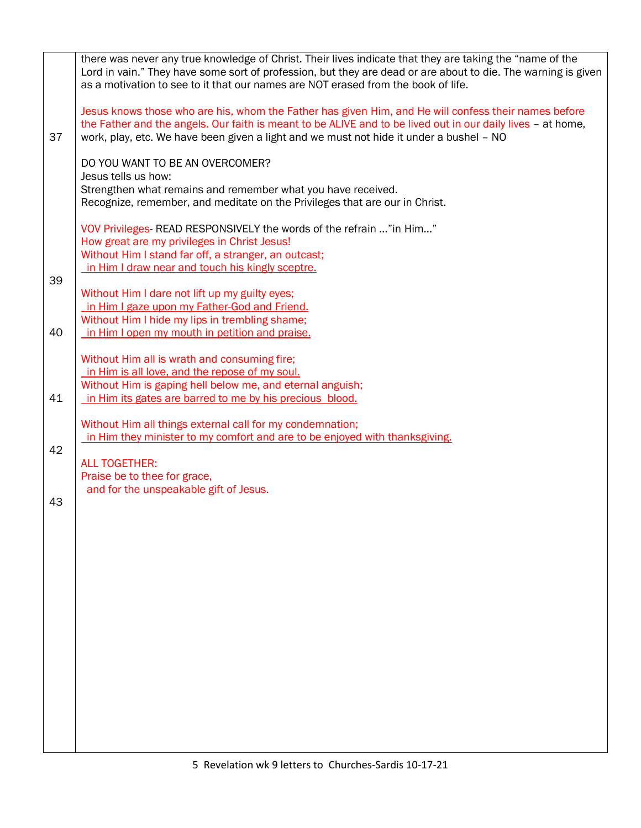|    | there was never any true knowledge of Christ. Their lives indicate that they are taking the "name of the<br>Lord in vain." They have some sort of profession, but they are dead or are about to die. The warning is given<br>as a motivation to see to it that our names are NOT erased from the book of life. |
|----|----------------------------------------------------------------------------------------------------------------------------------------------------------------------------------------------------------------------------------------------------------------------------------------------------------------|
| 37 | Jesus knows those who are his, whom the Father has given Him, and He will confess their names before<br>the Father and the angels. Our faith is meant to be ALIVE and to be lived out in our daily lives - at home,<br>work, play, etc. We have been given a light and we must not hide it under a bushel - NO |
|    | DO YOU WANT TO BE AN OVERCOMER?<br>Jesus tells us how:<br>Strengthen what remains and remember what you have received.<br>Recognize, remember, and meditate on the Privileges that are our in Christ.                                                                                                          |
|    | VOV Privileges-READ RESPONSIVELY the words of the refrain " in Him"<br>How great are my privileges in Christ Jesus!<br>Without Him I stand far off, a stranger, an outcast;                                                                                                                                    |
| 39 | in Him I draw near and touch his kingly sceptre.                                                                                                                                                                                                                                                               |
|    | Without Him I dare not lift up my guilty eyes;<br>in Him I gaze upon my Father-God and Friend.                                                                                                                                                                                                                 |
| 40 | Without Him I hide my lips in trembling shame;<br>in Him I open my mouth in petition and praise.                                                                                                                                                                                                               |
|    | Without Him all is wrath and consuming fire;<br>in Him is all love, and the repose of my soul.                                                                                                                                                                                                                 |
| 41 | Without Him is gaping hell below me, and eternal anguish;<br>in Him its gates are barred to me by his precious blood.                                                                                                                                                                                          |
|    | Without Him all things external call for my condemnation;<br>in Him they minister to my comfort and are to be enjoyed with thanksgiving.                                                                                                                                                                       |
| 42 | <b>ALL TOGETHER:</b><br>Praise be to thee for grace,                                                                                                                                                                                                                                                           |
| 43 | and for the unspeakable gift of Jesus.                                                                                                                                                                                                                                                                         |
|    |                                                                                                                                                                                                                                                                                                                |
|    |                                                                                                                                                                                                                                                                                                                |
|    |                                                                                                                                                                                                                                                                                                                |
|    |                                                                                                                                                                                                                                                                                                                |
|    |                                                                                                                                                                                                                                                                                                                |
|    |                                                                                                                                                                                                                                                                                                                |
|    |                                                                                                                                                                                                                                                                                                                |
|    |                                                                                                                                                                                                                                                                                                                |
|    |                                                                                                                                                                                                                                                                                                                |